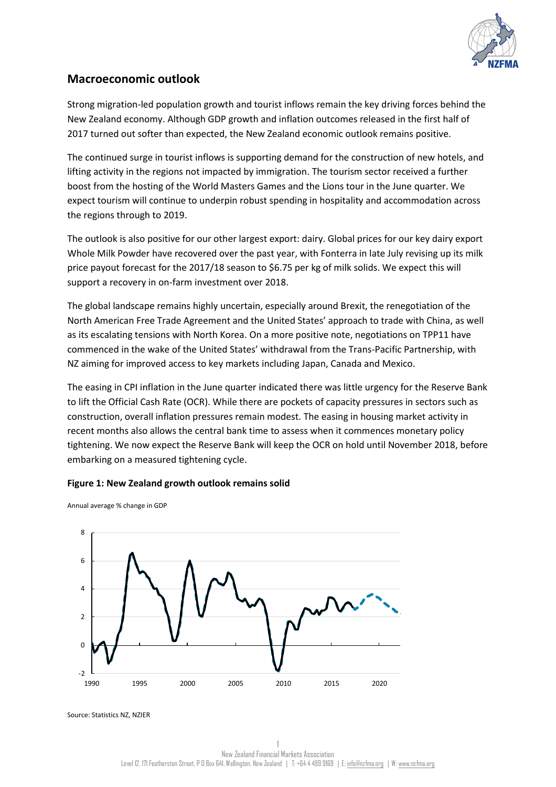

# **Macroeconomic outlook**

Strong migration-led population growth and tourist inflows remain the key driving forces behind the New Zealand economy. Although GDP growth and inflation outcomes released in the first half of 2017 turned out softer than expected, the New Zealand economic outlook remains positive.

The continued surge in tourist inflows is supporting demand for the construction of new hotels, and lifting activity in the regions not impacted by immigration. The tourism sector received a further boost from the hosting of the World Masters Games and the Lions tour in the June quarter. We expect tourism will continue to underpin robust spending in hospitality and accommodation across the regions through to 2019.

The outlook is also positive for our other largest export: dairy. Global prices for our key dairy export Whole Milk Powder have recovered over the past year, with Fonterra in late July revising up its milk price payout forecast for the 2017/18 season to \$6.75 per kg of milk solids. We expect this will support a recovery in on-farm investment over 2018.

The global landscape remains highly uncertain, especially around Brexit, the renegotiation of the North American Free Trade Agreement and the United States' approach to trade with China, as well as its escalating tensions with North Korea. On a more positive note, negotiations on TPP11 have commenced in the wake of the United States' withdrawal from the Trans-Pacific Partnership, with NZ aiming for improved access to key markets including Japan, Canada and Mexico.

The easing in CPI inflation in the June quarter indicated there was little urgency for the Reserve Bank to lift the Official Cash Rate (OCR). While there are pockets of capacity pressures in sectors such as construction, overall inflation pressures remain modest. The easing in housing market activity in recent months also allows the central bank time to assess when it commences monetary policy tightening. We now expect the Reserve Bank will keep the OCR on hold until November 2018, before embarking on a measured tightening cycle.

## **Figure 1: New Zealand growth outlook remains solid**



Annual average % change in GDP

Source: Statistics NZ, NZIER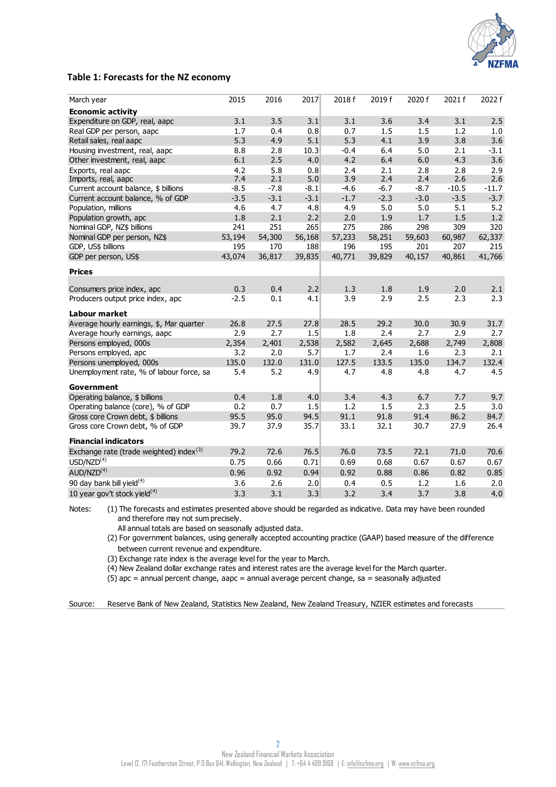

## **Table 1: Forecasts for the NZ economy**

| March year                                          | 2015   | 2016   | 2017   | 2018 f | 2019 f | 2020 f | 2021 f  | 2022 f  |
|-----------------------------------------------------|--------|--------|--------|--------|--------|--------|---------|---------|
| <b>Economic activity</b>                            |        |        |        |        |        |        |         |         |
| Expenditure on GDP, real, aapc                      | 3.1    | 3.5    | 3.1    | 3.1    | 3.6    | 3.4    | 3.1     | 2.5     |
| Real GDP per person, aapc                           | 1.7    | 0.4    | 0.8    | 0.7    | 1.5    | 1.5    | 1.2     | 1.0     |
| Retail sales, real aapc                             | 5.3    | 4.9    | 5.1    | 5.3    | 4.1    | 3.9    | 3.8     | 3.6     |
| Housing investment, real, aapc                      | 8.8    | 2.8    | 10.3   | $-0.4$ | 6.4    | 5.0    | 2.1     | $-3.1$  |
| Other investment, real, aapc                        | 6.1    | 2.5    | 4.0    | 4.2    | 6.4    | 6.0    | 4.3     | 3.6     |
| Exports, real aapc                                  | 4.2    | 5.8    | 0.8    | 2.4    | 2.1    | 2.8    | 2.8     | 2.9     |
| Imports, real, aapc                                 | 7.4    | 2.1    | 5.0    | 3.9    | 2.4    | 2.4    | 2.6     | 2.6     |
| Current account balance, \$ billions                | $-8.5$ | $-7.8$ | $-8.1$ | $-4.6$ | $-6.7$ | $-8.7$ | $-10.5$ | $-11.7$ |
| Current account balance, % of GDP                   | $-3.5$ | $-3.1$ | $-3.1$ | $-1.7$ | $-2.3$ | $-3.0$ | $-3.5$  | $-3.7$  |
| Population, millions                                | 4.6    | 4.7    | 4.8    | 4.9    | 5.0    | 5.0    | 5.1     | 5.2     |
| Population growth, apc                              | 1.8    | 2.1    | 2.2    | 2.0    | 1.9    | 1.7    | 1.5     | 1.2     |
| Nominal GDP, NZ\$ billions                          | 241    | 251    | 265    | 275    | 286    | 298    | 309     | 320     |
| Nominal GDP per person, NZ\$                        | 53,194 | 54,300 | 56,168 | 57,233 | 58,251 | 59,603 | 60,987  | 62,337  |
| GDP, US\$ billions                                  | 195    | 170    | 188    | 196    | 195    | 201    | 207     | 215     |
| GDP per person, US\$                                | 43,074 | 36,817 | 39,835 | 40,771 | 39,829 | 40,157 | 40,861  | 41,766  |
|                                                     |        |        |        |        |        |        |         |         |
| <b>Prices</b>                                       |        |        |        |        |        |        |         |         |
| Consumers price index, apc                          | 0.3    | 0.4    | 2.2    | 1.3    | 1.8    | 1.9    | 2.0     | 2.1     |
| Producers output price index, apc                   | $-2.5$ | 0.1    | 4.1    | 3.9    | 2.9    | 2.5    | 2.3     | 2.3     |
|                                                     |        |        |        |        |        |        |         |         |
| Labour market                                       |        |        |        |        |        |        |         |         |
| Average hourly earnings, \$, Mar quarter            | 26.8   | 27.5   | 27.8   | 28.5   | 29.2   | 30.0   | 30.9    | 31.7    |
| Average hourly earnings, aapc                       | 2.9    | 2.7    | 1.5    | 1.8    | 2.4    | 2.7    | 2.9     | 2.7     |
| Persons employed, 000s                              | 2,354  | 2,401  | 2,538  | 2,582  | 2,645  | 2,688  | 2,749   | 2,808   |
| Persons employed, apc                               | 3.2    | 2.0    | 5.7    | 1.7    | 2.4    | 1.6    | 2.3     | 2.1     |
| Persons unemployed, 000s                            | 135.0  | 132.0  | 131.0  | 127.5  | 133.5  | 135.0  | 134.7   | 132.4   |
| Unemployment rate, % of labour force, sa            | 5.4    | 5.2    | 4.9    | 4.7    | 4.8    | 4.8    | 4.7     | 4.5     |
| Government                                          |        |        |        |        |        |        |         |         |
| Operating balance, \$ billions                      | 0.4    | 1.8    | 4.0    | 3.4    | 4.3    | 6.7    | 7.7     | 9.7     |
| Operating balance (core), % of GDP                  | 0.2    | 0.7    | 1.5    | 1.2    | 1.5    | 2.3    | 2.5     | 3.0     |
| Gross core Crown debt, \$ billions                  | 95.5   | 95.0   | 94.5   | 91.1   | 91.8   | 91.4   | 86.2    | 84.7    |
| Gross core Crown debt, % of GDP                     | 39.7   | 37.9   | 35.7   | 33.1   | 32.1   | 30.7   | 27.9    | 26.4    |
|                                                     |        |        |        |        |        |        |         |         |
| <b>Financial indicators</b>                         |        |        |        |        |        |        |         |         |
| Exchange rate (trade weighted) index <sup>(3)</sup> | 79.2   | 72.6   | 76.5   | 76.0   | 73.5   | 72.1   | 71.0    | 70.6    |
| USD/NZD <sup>(4)</sup>                              | 0.75   | 0.66   | 0.71   | 0.69   | 0.68   | 0.67   | 0.67    | 0.67    |
| AUD/NZD <sup>(4)</sup>                              | 0.96   | 0.92   | 0.94   | 0.92   | 0.88   | 0.86   | 0.82    | 0.85    |
| 90 day bank bill yield $(4)$                        | 3.6    | 2.6    | 2.0    | 0.4    | 0.5    | 1.2    | 1.6     | 2.0     |
| 10 year gov't stock yield <sup>(4)</sup>            | 3.3    | 3.1    | 3.3    | 3.2    | 3.4    | 3.7    | 3.8     | 4.0     |

Notes: (1) The forecasts and estimates presented above should be regarded as indicative. Data may have been rounded and therefore may not sum precisely.

All annual totals are based on seasonally adjusted data.

(2) For government balances, using generally accepted accounting practice (GAAP) based measure of the difference between current revenue and expenditure.

(3) Exchange rate index is the average level for the year to March.

(4) New Zealand dollar exchange rates and interest rates are the average level for the March quarter.

 $(5)$  apc = annual percent change, aapc = annual average percent change, sa = seasonally adjusted

Source: Reserve Bank of New Zealand, Statistics New Zealand, New Zealand Treasury, NZIER estimates and forecasts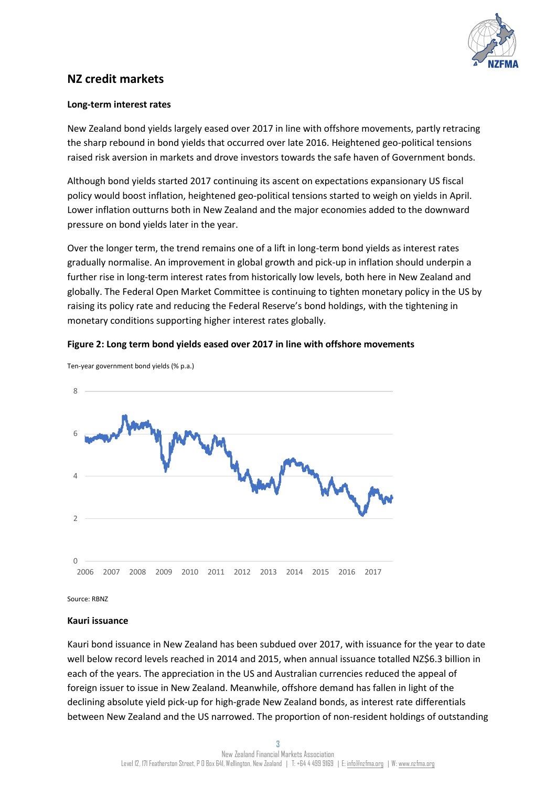

# **NZ credit markets**

## **Long-term interest rates**

New Zealand bond yields largely eased over 2017 in line with offshore movements, partly retracing the sharp rebound in bond yields that occurred over late 2016. Heightened geo-political tensions raised risk aversion in markets and drove investors towards the safe haven of Government bonds.

Although bond yields started 2017 continuing its ascent on expectations expansionary US fiscal policy would boost inflation, heightened geo-political tensions started to weigh on yields in April. Lower inflation outturns both in New Zealand and the major economies added to the downward pressure on bond yields later in the year.

Over the longer term, the trend remains one of a lift in long-term bond yields as interest rates gradually normalise. An improvement in global growth and pick-up in inflation should underpin a further rise in long-term interest rates from historically low levels, both here in New Zealand and globally. The Federal Open Market Committee is continuing to tighten monetary policy in the US by raising its policy rate and reducing the Federal Reserve's bond holdings, with the tightening in monetary conditions supporting higher interest rates globally.





Ten-year government bond yields (% p.a.)

Source: RBNZ

### **Kauri issuance**

Kauri bond issuance in New Zealand has been subdued over 2017, with issuance for the year to date well below record levels reached in 2014 and 2015, when annual issuance totalled NZ\$6.3 billion in each of the years. The appreciation in the US and Australian currencies reduced the appeal of foreign issuer to issue in New Zealand. Meanwhile, offshore demand has fallen in light of the declining absolute yield pick-up for high-grade New Zealand bonds, as interest rate differentials between New Zealand and the US narrowed. The proportion of non-resident holdings of outstanding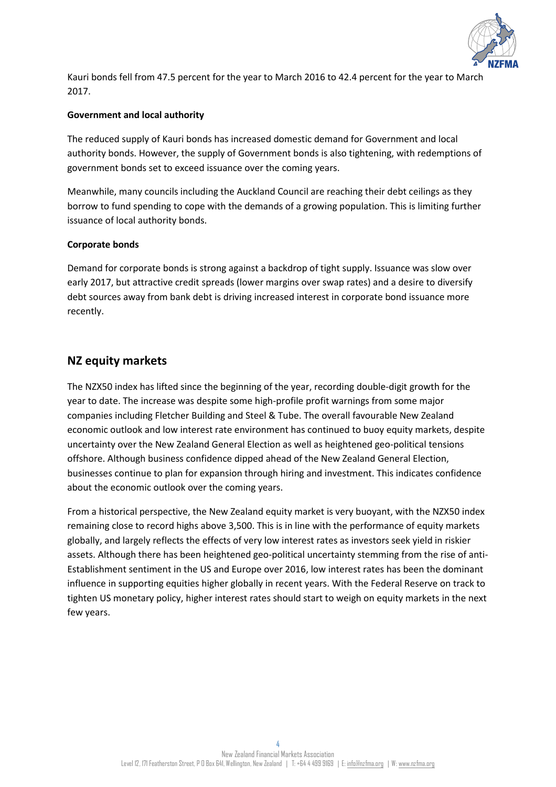

Kauri bonds fell from 47.5 percent for the year to March 2016 to 42.4 percent for the year to March 2017.

## **Government and local authority**

The reduced supply of Kauri bonds has increased domestic demand for Government and local authority bonds. However, the supply of Government bonds is also tightening, with redemptions of government bonds set to exceed issuance over the coming years.

Meanwhile, many councils including the Auckland Council are reaching their debt ceilings as they borrow to fund spending to cope with the demands of a growing population. This is limiting further issuance of local authority bonds.

## **Corporate bonds**

Demand for corporate bonds is strong against a backdrop of tight supply. Issuance was slow over early 2017, but attractive credit spreads (lower margins over swap rates) and a desire to diversify debt sources away from bank debt is driving increased interest in corporate bond issuance more recently.

# **NZ equity markets**

The NZX50 index has lifted since the beginning of the year, recording double-digit growth for the year to date. The increase was despite some high-profile profit warnings from some major companies including Fletcher Building and Steel & Tube. The overall favourable New Zealand economic outlook and low interest rate environment has continued to buoy equity markets, despite uncertainty over the New Zealand General Election as well as heightened geo-political tensions offshore. Although business confidence dipped ahead of the New Zealand General Election, businesses continue to plan for expansion through hiring and investment. This indicates confidence about the economic outlook over the coming years.

From a historical perspective, the New Zealand equity market is very buoyant, with the NZX50 index remaining close to record highs above 3,500. This is in line with the performance of equity markets globally, and largely reflects the effects of very low interest rates as investors seek yield in riskier assets. Although there has been heightened geo-political uncertainty stemming from the rise of anti-Establishment sentiment in the US and Europe over 2016, low interest rates has been the dominant influence in supporting equities higher globally in recent years. With the Federal Reserve on track to tighten US monetary policy, higher interest rates should start to weigh on equity markets in the next few years.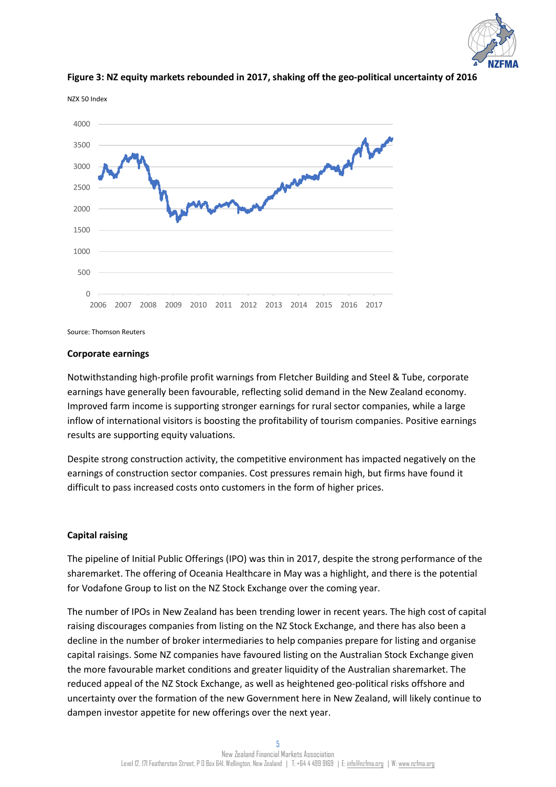



**Figure 3: NZ equity markets rebounded in 2017, shaking off the geo-political uncertainty of 2016**

Source: Thomson Reuters

#### **Corporate earnings**

Notwithstanding high-profile profit warnings from Fletcher Building and Steel & Tube, corporate earnings have generally been favourable, reflecting solid demand in the New Zealand economy. Improved farm income is supporting stronger earnings for rural sector companies, while a large inflow of international visitors is boosting the profitability of tourism companies. Positive earnings results are supporting equity valuations.

Despite strong construction activity, the competitive environment has impacted negatively on the earnings of construction sector companies. Cost pressures remain high, but firms have found it difficult to pass increased costs onto customers in the form of higher prices.

#### **Capital raising**

The pipeline of Initial Public Offerings (IPO) was thin in 2017, despite the strong performance of the sharemarket. The offering of Oceania Healthcare in May was a highlight, and there is the potential for Vodafone Group to list on the NZ Stock Exchange over the coming year.

The number of IPOs in New Zealand has been trending lower in recent years. The high cost of capital raising discourages companies from listing on the NZ Stock Exchange, and there has also been a decline in the number of broker intermediaries to help companies prepare for listing and organise capital raisings. Some NZ companies have favoured listing on the Australian Stock Exchange given the more favourable market conditions and greater liquidity of the Australian sharemarket. The reduced appeal of the NZ Stock Exchange, as well as heightened geo-political risks offshore and uncertainty over the formation of the new Government here in New Zealand, will likely continue to dampen investor appetite for new offerings over the next year.